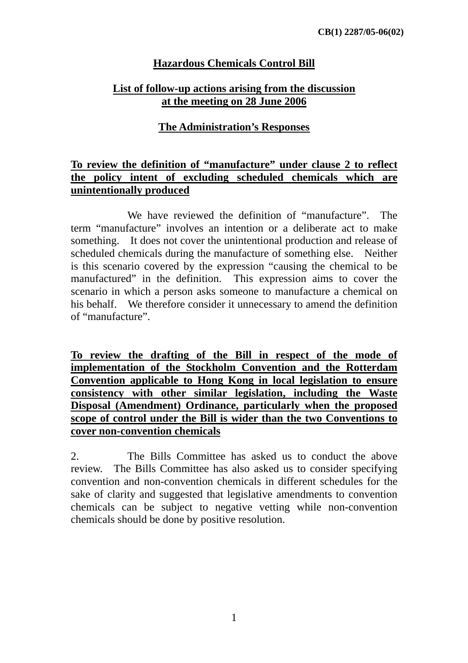## **Hazardous Chemicals Control Bill**

## **List of follow-up actions arising from the discussion at the meeting on 28 June 2006**

### **The Administration's Responses**

#### **To review the definition of "manufacture" under clause 2 to reflect the policy intent of excluding scheduled chemicals which are unintentionally produced**

 We have reviewed the definition of "manufacture". The term "manufacture" involves an intention or a deliberate act to make something. It does not cover the unintentional production and release of scheduled chemicals during the manufacture of something else. Neither is this scenario covered by the expression "causing the chemical to be manufactured" in the definition. This expression aims to cover the scenario in which a person asks someone to manufacture a chemical on his behalf. We therefore consider it unnecessary to amend the definition of "manufacture".

**To review the drafting of the Bill in respect of the mode of implementation of the Stockholm Convention and the Rotterdam Convention applicable to Hong Kong in local legislation to ensure consistency with other similar legislation, including the Waste Disposal (Amendment) Ordinance, particularly when the proposed scope of control under the Bill is wider than the two Conventions to cover non-convention chemicals**

2. The Bills Committee has asked us to conduct the above review. The Bills Committee has also asked us to consider specifying convention and non-convention chemicals in different schedules for the sake of clarity and suggested that legislative amendments to convention chemicals can be subject to negative vetting while non-convention chemicals should be done by positive resolution.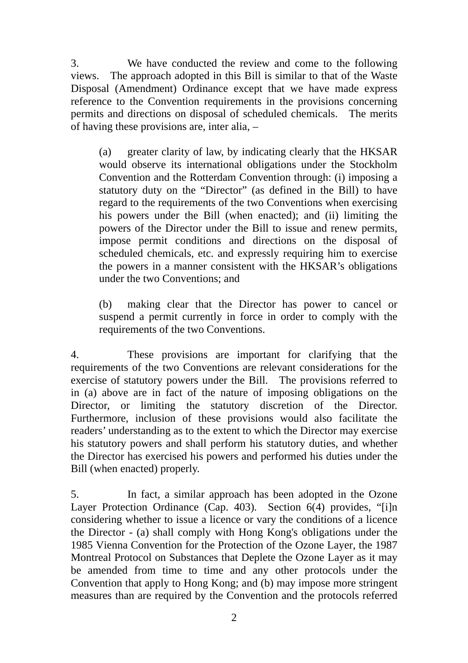3. We have conducted the review and come to the following views. The approach adopted in this Bill is similar to that of the Waste Disposal (Amendment) Ordinance except that we have made express reference to the Convention requirements in the provisions concerning permits and directions on disposal of scheduled chemicals. The merits of having these provisions are, inter alia, –

(a) greater clarity of law, by indicating clearly that the HKSAR would observe its international obligations under the Stockholm Convention and the Rotterdam Convention through: (i) imposing a statutory duty on the "Director" (as defined in the Bill) to have regard to the requirements of the two Conventions when exercising his powers under the Bill (when enacted); and (ii) limiting the powers of the Director under the Bill to issue and renew permits, impose permit conditions and directions on the disposal of scheduled chemicals, etc. and expressly requiring him to exercise the powers in a manner consistent with the HKSAR's obligations under the two Conventions; and

(b) making clear that the Director has power to cancel or suspend a permit currently in force in order to comply with the requirements of the two Conventions.

4. These provisions are important for clarifying that the requirements of the two Conventions are relevant considerations for the exercise of statutory powers under the Bill. The provisions referred to in (a) above are in fact of the nature of imposing obligations on the Director, or limiting the statutory discretion of the Director. Furthermore, inclusion of these provisions would also facilitate the readers' understanding as to the extent to which the Director may exercise his statutory powers and shall perform his statutory duties, and whether the Director has exercised his powers and performed his duties under the Bill (when enacted) properly.

5. In fact, a similar approach has been adopted in the Ozone Layer Protection Ordinance (Cap. 403). Section 6(4) provides, "[i]n considering whether to issue a licence or vary the conditions of a licence the Director - (a) shall comply with Hong Kong's obligations under the 1985 Vienna Convention for the Protection of the Ozone Layer, the 1987 Montreal Protocol on Substances that Deplete the Ozone Layer as it may be amended from time to time and any other protocols under the Convention that apply to Hong Kong; and (b) may impose more stringent measures than are required by the Convention and the protocols referred